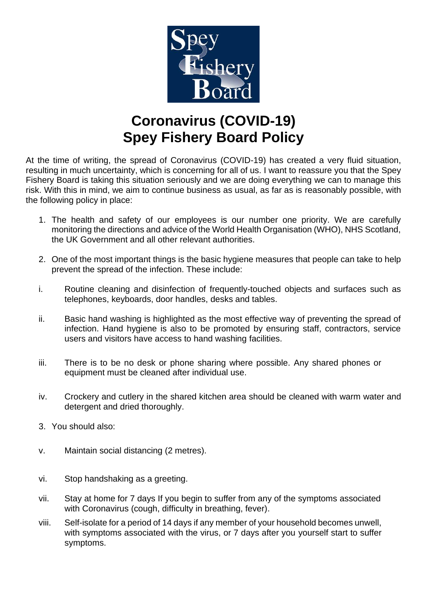

# **Coronavirus (COVID-19) Spey Fishery Board Policy**

At the time of writing, the spread of Coronavirus (COVID-19) has created a very fluid situation, resulting in much uncertainty, which is concerning for all of us. I want to reassure you that the Spey Fishery Board is taking this situation seriously and we are doing everything we can to manage this risk. With this in mind, we aim to continue business as usual, as far as is reasonably possible, with the following policy in place:

- 1. The health and safety of our employees is our number one priority. We are carefully monitoring the directions and advice of the World Health Organisation (WHO), NHS Scotland, the UK Government and all other relevant authorities.
- 2. One of the most important things is the basic hygiene measures that people can take to help prevent the spread of the infection. These include:
- i. Routine cleaning and disinfection of frequently-touched objects and surfaces such as telephones, keyboards, door handles, desks and tables.
- ii. Basic hand washing is highlighted as the most effective way of preventing the spread of infection. Hand hygiene is also to be promoted by ensuring staff, contractors, service users and visitors have access to hand washing facilities.
- iii. There is to be no desk or phone sharing where possible. Any shared phones or equipment must be cleaned after individual use.
- iv. Crockery and cutlery in the shared kitchen area should be cleaned with warm water and detergent and dried thoroughly.
- 3. You should also:
- v. Maintain social distancing (2 metres).
- vi. Stop handshaking as a greeting.
- vii. Stay at home for 7 days If you begin to suffer from any of the symptoms associated with Coronavirus (cough, difficulty in breathing, fever).
- viii. Self-isolate for a period of 14 days if any member of your household becomes unwell, with symptoms associated with the virus, or 7 days after you yourself start to suffer symptoms.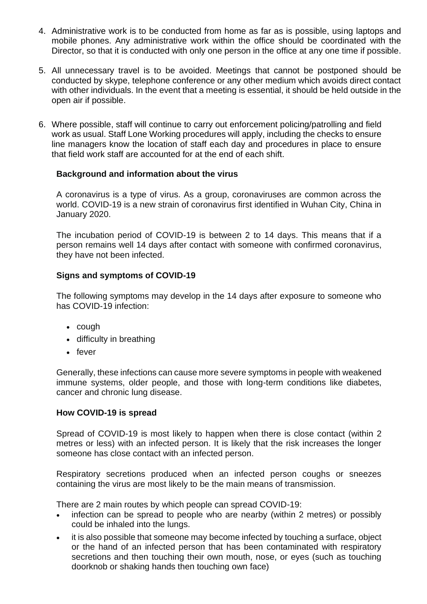- 4. Administrative work is to be conducted from home as far as is possible, using laptops and mobile phones. Any administrative work within the office should be coordinated with the Director, so that it is conducted with only one person in the office at any one time if possible.
- 5. All unnecessary travel is to be avoided. Meetings that cannot be postponed should be conducted by skype, telephone conference or any other medium which avoids direct contact with other individuals. In the event that a meeting is essential, it should be held outside in the open air if possible.
- 6. Where possible, staff will continue to carry out enforcement policing/patrolling and field work as usual. Staff Lone Working procedures will apply, including the checks to ensure line managers know the location of staff each day and procedures in place to ensure that field work staff are accounted for at the end of each shift.

### **Background and information about the virus**

A coronavirus is a type of virus. As a group, coronaviruses are common across the world. COVID-19 is a new strain of coronavirus first identified in Wuhan City, China in January 2020.

The incubation period of COVID-19 is between 2 to 14 days. This means that if a person remains well 14 days after contact with someone with confirmed coronavirus, they have not been infected.

### **Signs and symptoms of COVID-19**

The following symptoms may develop in the 14 days after exposure to someone who has COVID-19 infection:

- cough
- difficulty in breathing
- fever

Generally, these infections can cause more severe symptoms in people with weakened immune systems, older people, and those with long-term conditions like diabetes, cancer and chronic lung disease.

#### **How COVID-19 is spread**

Spread of COVID-19 is most likely to happen when there is close contact (within 2 metres or less) with an infected person. It is likely that the risk increases the longer someone has close contact with an infected person.

Respiratory secretions produced when an infected person coughs or sneezes containing the virus are most likely to be the main means of transmission.

There are 2 main routes by which people can spread COVID-19:

- infection can be spread to people who are nearby (within 2 metres) or possibly could be inhaled into the lungs.
- it is also possible that someone may become infected by touching a surface, object or the hand of an infected person that has been contaminated with respiratory secretions and then touching their own mouth, nose, or eyes (such as touching doorknob or shaking hands then touching own face)